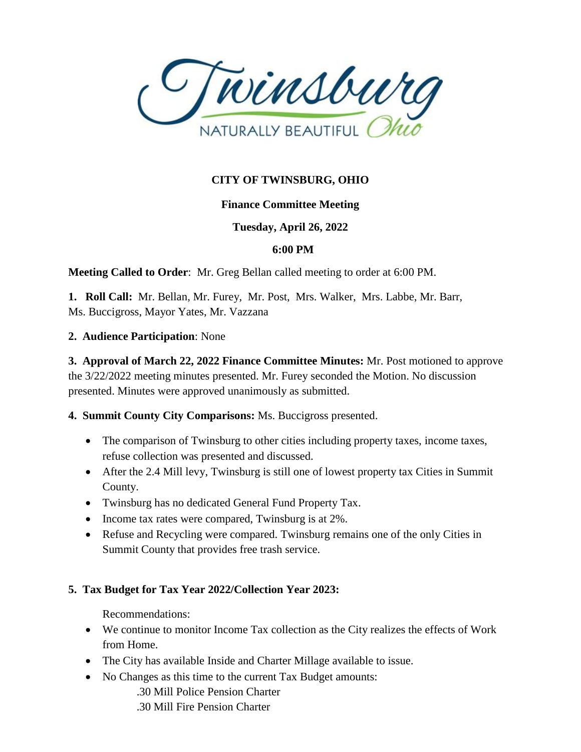

# **CITY OF TWINSBURG, OHIO**

## **Finance Committee Meeting**

## **Tuesday, April 26, 2022**

### **6:00 PM**

**Meeting Called to Order**: Mr. Greg Bellan called meeting to order at 6:00 PM.

**1. Roll Call:** Mr. Bellan, Mr. Furey, Mr. Post, Mrs. Walker, Mrs. Labbe, Mr. Barr, Ms. Buccigross, Mayor Yates, Mr. Vazzana

#### **2. Audience Participation**: None

**3. Approval of March 22, 2022 Finance Committee Minutes:** Mr. Post motioned to approve the 3/22/2022 meeting minutes presented. Mr. Furey seconded the Motion. No discussion presented. Minutes were approved unanimously as submitted.

### **4. Summit County City Comparisons:** Ms. Buccigross presented.

- The comparison of Twinsburg to other cities including property taxes, income taxes, refuse collection was presented and discussed.
- After the 2.4 Mill levy, Twinsburg is still one of lowest property tax Cities in Summit County.
- Twinsburg has no dedicated General Fund Property Tax.
- Income tax rates were compared, Twinsburg is at 2%.
- Refuse and Recycling were compared. Twinsburg remains one of the only Cities in Summit County that provides free trash service.

### **5. Tax Budget for Tax Year 2022/Collection Year 2023:**

Recommendations:

- We continue to monitor Income Tax collection as the City realizes the effects of Work from Home.
- The City has available Inside and Charter Millage available to issue.
- No Changes as this time to the current Tax Budget amounts:
	- .30 Mill Police Pension Charter
	- .30 Mill Fire Pension Charter